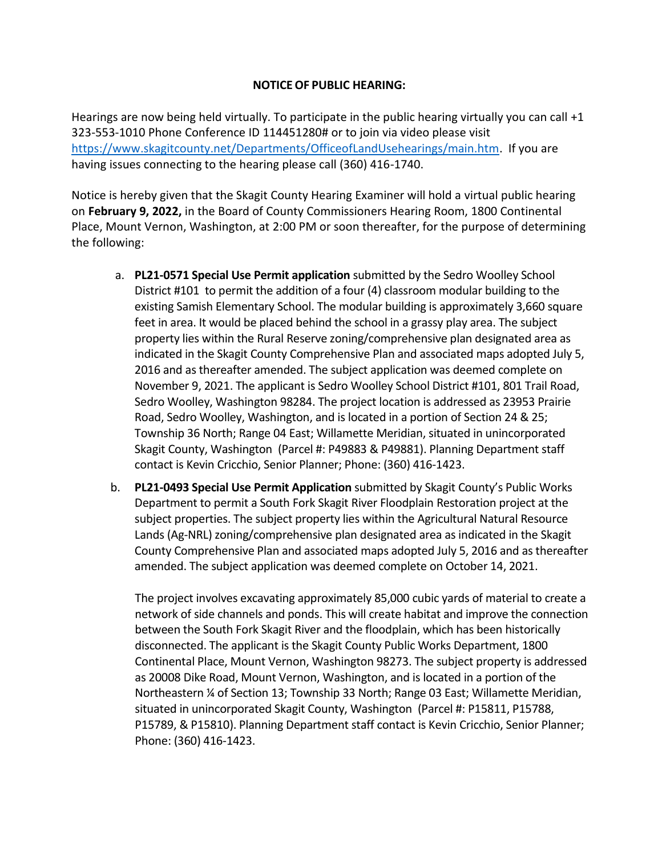## **NOTICEOF PUBLIC HEARING:**

Hearings are now being held virtually. To participate in the public hearing virtually you can call +1 323-553-1010 Phone Conference ID 114451280# or to join via video please visit [https://www.skagitcounty.net/Departments/OfficeofLandUsehearings/main.htm.](https://www.skagitcounty.net/Departments/OfficeofLandUsehearings/main.htm) If you are having issues connecting to the hearing please call (360) 416-1740.

Notice is hereby given that the Skagit County Hearing Examiner will hold a virtual public hearing on **February 9, 2022,** in the Board of County Commissioners Hearing Room, 1800 Continental Place, Mount Vernon, Washington, at 2:00 PM or soon thereafter, for the purpose of determining the following:

- a. **PL21-0571 Special Use Permit application** submitted by the Sedro Woolley School District #101 to permit the addition of a four (4) classroom modular building to the existing Samish Elementary School. The modular building is approximately 3,660 square feet in area. It would be placed behind the school in a grassy play area. The subject property lies within the Rural Reserve zoning/comprehensive plan designated area as indicated in the Skagit County Comprehensive Plan and associated maps adopted July 5, 2016 and as thereafter amended. The subject application was deemed complete on November 9, 2021. The applicant is Sedro Woolley School District #101, 801 Trail Road, Sedro Woolley, Washington 98284. The project location is addressed as 23953 Prairie Road, Sedro Woolley, Washington, and is located in a portion of Section 24 & 25; Township 36 North; Range 04 East; Willamette Meridian, situated in unincorporated Skagit County, Washington (Parcel #: P49883 & P49881). Planning Department staff contact is Kevin Cricchio, Senior Planner; Phone: (360) 416-1423.
- b. **PL21-0493 Special Use Permit Application** submitted by Skagit County's Public Works Department to permit a South Fork Skagit River Floodplain Restoration project at the subject properties. The subject property lies within the Agricultural Natural Resource Lands (Ag-NRL) zoning/comprehensive plan designated area as indicated in the Skagit County Comprehensive Plan and associated maps adopted July 5, 2016 and as thereafter amended. The subject application was deemed complete on October 14, 2021.

The project involves excavating approximately 85,000 cubic yards of material to create a network of side channels and ponds. This will create habitat and improve the connection between the South Fork Skagit River and the floodplain, which has been historically disconnected. The applicant is the Skagit County Public Works Department, 1800 Continental Place, Mount Vernon, Washington 98273. The subject property is addressed as 20008 Dike Road, Mount Vernon, Washington, and is located in a portion of the Northeastern ¼ of Section 13; Township 33 North; Range 03 East; Willamette Meridian, situated in unincorporated Skagit County, Washington (Parcel #: P15811, P15788, P15789, & P15810). Planning Department staff contact is Kevin Cricchio, Senior Planner; Phone: (360) 416-1423.